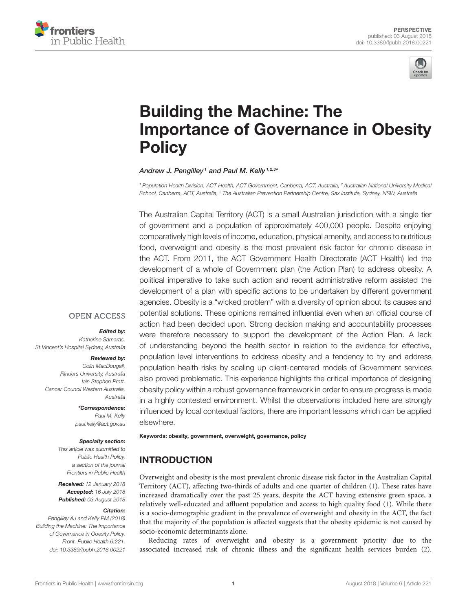



# Building the Machine: The [Importance of Governance in Obesity](https://www.frontiersin.org/articles/10.3389/fpubh.2018.00221/full) **Policy**

#### Andrew J. Pengilley<sup>1</sup> and [Paul M. Kelly](http://loop.frontiersin.org/people/207267/overview) <sup>1,2,3</sup>\*

*<sup>1</sup> Population Health Division, ACT Health, ACT Government, Canberra, ACT, Australia, <sup>2</sup> Australian National University Medical School, Canberra, ACT, Australia, <sup>3</sup> The Australian Prevention Partnership Centre, Sax Institute, Sydney, NSW, Australia*

The Australian Capital Territory (ACT) is a small Australian jurisdiction with a single tier of government and a population of approximately 400,000 people. Despite enjoying comparatively high levels of income, education, physical amenity, and access to nutritious food, overweight and obesity is the most prevalent risk factor for chronic disease in the ACT. From 2011, the ACT Government Health Directorate (ACT Health) led the development of a whole of Government plan (the Action Plan) to address obesity. A political imperative to take such action and recent administrative reform assisted the development of a plan with specific actions to be undertaken by different government agencies. Obesity is a "wicked problem" with a diversity of opinion about its causes and potential solutions. These opinions remained influential even when an official course of action had been decided upon. Strong decision making and accountability processes were therefore necessary to support the development of the Action Plan. A lack of understanding beyond the health sector in relation to the evidence for effective, population level interventions to address obesity and a tendency to try and address population health risks by scaling up client-centered models of Government services also proved problematic. This experience highlights the critical importance of designing obesity policy within a robust governance framework in order to ensure progress is made in a highly contested environment. Whilst the observations included here are strongly influenced by local contextual factors, there are important lessons which can be applied elsewhere.

#### **OPEN ACCESS**

#### Edited by:

*Katherine Samaras, St Vincent's Hospital Sydney, Australia*

#### Reviewed by:

*Colin MacDougall, Flinders University, Australia Iain Stephen Pratt, Cancer Council Western Australia, Australia*

> \*Correspondence: *Paul M. Kelly [paul.kelly@act.gov.au](mailto:paul.kelly@act.gov.au)*

#### Specialty section:

*This article was submitted to Public Health Policy, a section of the journal Frontiers in Public Health*

Received: *12 January 2018* Accepted: *16 July 2018* Published: *03 August 2018*

#### Citation:

*Pengilley AJ and Kelly PM (2018) Building the Machine: The Importance of Governance in Obesity Policy. Front. Public Health 6:221. doi: [10.3389/fpubh.2018.00221](https://doi.org/10.3389/fpubh.2018.00221)* Keywords: obesity, government, overweight, governance, policy

# INTRODUCTION

Overweight and obesity is the most prevalent chronic disease risk factor in the Australian Capital Territory (ACT), affecting two-thirds of adults and one quarter of children [\(1\)](#page-5-0). These rates have increased dramatically over the past 25 years, despite the ACT having extensive green space, a relatively well-educated and affluent population and access to high quality food [\(1\)](#page-5-0). While there is a socio-demographic gradient in the prevalence of overweight and obesity in the ACT, the fact that the majority of the population is affected suggests that the obesity epidemic is not caused by socio-economic determinants alone.

Reducing rates of overweight and obesity is a government priority due to the associated increased risk of chronic illness and the significant health services burden [\(2\)](#page-5-1).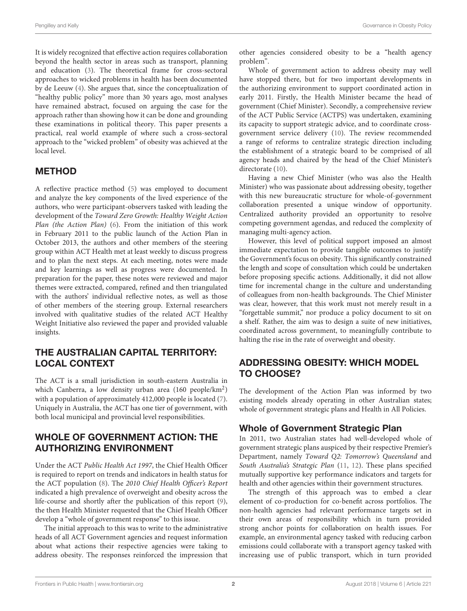It is widely recognized that effective action requires collaboration beyond the health sector in areas such as transport, planning and education [\(3\)](#page-5-2). The theoretical frame for cross-sectoral approaches to wicked problems in health has been documented by de Leeuw [\(4\)](#page-5-3). She argues that, since the conceptualization of "healthy public policy" more than 30 years ago, most analyses have remained abstract, focused on arguing the case for the approach rather than showing how it can be done and grounding these examinations in political theory. This paper presents a practical, real world example of where such a cross-sectoral approach to the "wicked problem" of obesity was achieved at the local level.

## METHOD

A reflective practice method [\(5\)](#page-5-4) was employed to document and analyze the key components of the lived experience of the authors, who were participant-observers tasked with leading the development of the Toward Zero Growth: Healthy Weight Action Plan (the Action Plan) [\(6\)](#page-5-5). From the initiation of this work in February 2011 to the public launch of the Action Plan in October 2013, the authors and other members of the steering group within ACT Health met at least weekly to discuss progress and to plan the next steps. At each meeting, notes were made and key learnings as well as progress were documented. In preparation for the paper, these notes were reviewed and major themes were extracted, compared, refined and then triangulated with the authors' individual reflective notes, as well as those of other members of the steering group. External researchers involved with qualitative studies of the related ACT Healthy Weight Initiative also reviewed the paper and provided valuable insights.

## THE AUSTRALIAN CAPITAL TERRITORY: LOCAL CONTEXT

The ACT is a small jurisdiction in south-eastern Australia in which Canberra, a low density urban area (160 people/km<sup>2</sup>) with a population of approximately 412,000 people is located [\(7\)](#page-5-6). Uniquely in Australia, the ACT has one tier of government, with both local municipal and provincial level responsibilities.

### WHOLE OF GOVERNMENT ACTION: THE AUTHORIZING ENVIRONMENT

Under the ACT Public Health Act 1997, the Chief Health Officer is required to report on trends and indicators in health status for the ACT population [\(8\)](#page-5-7). The 2010 Chief Health Officer's Report indicated a high prevalence of overweight and obesity across the life-course and shortly after the publication of this report [\(9\)](#page-5-8), the then Health Minister requested that the Chief Health Officer develop a "whole of government response" to this issue.

The initial approach to this was to write to the administrative heads of all ACT Government agencies and request information about what actions their respective agencies were taking to address obesity. The responses reinforced the impression that other agencies considered obesity to be a "health agency problem".

Whole of government action to address obesity may well have stopped there, but for two important developments in the authorizing environment to support coordinated action in early 2011. Firstly, the Health Minister became the head of government (Chief Minister). Secondly, a comprehensive review of the ACT Public Service (ACTPS) was undertaken, examining its capacity to support strategic advice, and to coordinate crossgovernment service delivery [\(10\)](#page-5-9). The review recommended a range of reforms to centralize strategic direction including the establishment of a strategic board to be comprised of all agency heads and chaired by the head of the Chief Minister's directorate [\(10\)](#page-5-9).

Having a new Chief Minister (who was also the Health Minister) who was passionate about addressing obesity, together with this new bureaucratic structure for whole-of-government collaboration presented a unique window of opportunity. Centralized authority provided an opportunity to resolve competing government agendas, and reduced the complexity of managing multi-agency action.

However, this level of political support imposed an almost immediate expectation to provide tangible outcomes to justify the Government's focus on obesity. This significantly constrained the length and scope of consultation which could be undertaken before proposing specific actions. Additionally, it did not allow time for incremental change in the culture and understanding of colleagues from non-health backgrounds. The Chief Minister was clear, however, that this work must not merely result in a "forgettable summit," nor produce a policy document to sit on a shelf. Rather, the aim was to design a suite of new initiatives, coordinated across government, to meaningfully contribute to halting the rise in the rate of overweight and obesity.

# ADDRESSING OBESITY: WHICH MODEL TO CHOOSE?

The development of the Action Plan was informed by two existing models already operating in other Australian states; whole of government strategic plans and Health in All Policies.

# Whole of Government Strategic Plan

In 2011, two Australian states had well-developed whole of government strategic plans auspiced by their respective Premier's Department, namely Toward Q2: Tomorrow's Queensland and South Australia's Strategic Plan [\(11,](#page-5-10) [12\)](#page-5-11). These plans specified mutually supportive key performance indicators and targets for health and other agencies within their government structures.

The strength of this approach was to embed a clear element of co-production for co-benefit across portfolios. The non-health agencies had relevant performance targets set in their own areas of responsibility which in turn provided strong anchor points for collaboration on health issues. For example, an environmental agency tasked with reducing carbon emissions could collaborate with a transport agency tasked with increasing use of public transport, which in turn provided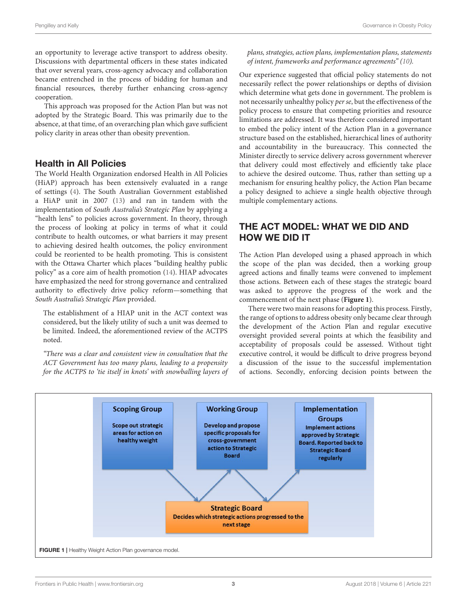an opportunity to leverage active transport to address obesity. Discussions with departmental officers in these states indicated that over several years, cross-agency advocacy and collaboration became entrenched in the process of bidding for human and financial resources, thereby further enhancing cross-agency cooperation.

This approach was proposed for the Action Plan but was not adopted by the Strategic Board. This was primarily due to the absence, at that time, of an overarching plan which gave sufficient policy clarity in areas other than obesity prevention.

#### Health in All Policies

The World Health Organization endorsed Health in All Policies (HiAP) approach has been extensively evaluated in a range of settings [\(4\)](#page-5-3). The South Australian Government established a HiAP unit in 2007 [\(13\)](#page-6-0) and ran in tandem with the implementation of South Australia's Strategic Plan by applying a "health lens" to policies across government. In theory, through the process of looking at policy in terms of what it could contribute to health outcomes, or what barriers it may present to achieving desired health outcomes, the policy environment could be reoriented to be health promoting. This is consistent with the Ottawa Charter which places "building healthy public policy" as a core aim of health promotion [\(14\)](#page-6-1). HIAP advocates have emphasized the need for strong governance and centralized authority to effectively drive policy reform—something that South Australia's Strategic Plan provided.

The establishment of a HIAP unit in the ACT context was considered, but the likely utility of such a unit was deemed to be limited. Indeed, the aforementioned review of the ACTPS noted.

"There was a clear and consistent view in consultation that the ACT Government has too many plans, leading to a propensity for the ACTPS to 'tie itself in knots' with snowballing layers of plans, strategies, action plans, implementation plans, statements of intent, frameworks and performance agreements" [\(10\)](#page-5-9).

Our experience suggested that official policy statements do not necessarily reflect the power relationships or depths of division which determine what gets done in government. The problem is not necessarily unhealthy policy per se, but the effectiveness of the policy process to ensure that competing priorities and resource limitations are addressed. It was therefore considered important to embed the policy intent of the Action Plan in a governance structure based on the established, hierarchical lines of authority and accountability in the bureaucracy. This connected the Minister directly to service delivery across government wherever that delivery could most effectively and efficiently take place to achieve the desired outcome. Thus, rather than setting up a mechanism for ensuring healthy policy, the Action Plan became a policy designed to achieve a single health objective through multiple complementary actions.

# THE ACT MODEL: WHAT WE DID AND HOW WE DID IT

The Action Plan developed using a phased approach in which the scope of the plan was decided, then a working group agreed actions and finally teams were convened to implement those actions. Between each of these stages the strategic board was asked to approve the progress of the work and the commencement of the next phase (**[Figure 1](#page-2-0)**).

There were two main reasons for adopting this process. Firstly, the range of options to address obesity only became clear through the development of the Action Plan and regular executive oversight provided several points at which the feasibility and acceptability of proposals could be assessed. Without tight executive control, it would be difficult to drive progress beyond a discussion of the issue to the successful implementation of actions. Secondly, enforcing decision points between the

<span id="page-2-0"></span>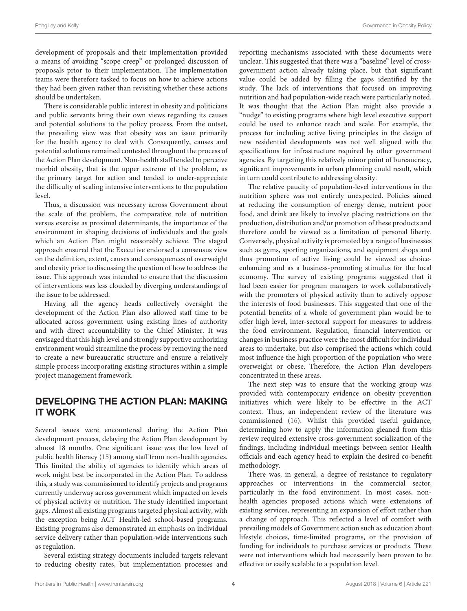development of proposals and their implementation provided a means of avoiding "scope creep" or prolonged discussion of proposals prior to their implementation. The implementation teams were therefore tasked to focus on how to achieve actions they had been given rather than revisiting whether these actions should be undertaken.

There is considerable public interest in obesity and politicians and public servants bring their own views regarding its causes and potential solutions to the policy process. From the outset, the prevailing view was that obesity was an issue primarily for the health agency to deal with. Consequently, causes and potential solutions remained contested throughout the process of the Action Plan development. Non-health staff tended to perceive morbid obesity, that is the upper extreme of the problem, as the primary target for action and tended to under-appreciate the difficulty of scaling intensive interventions to the population level.

Thus, a discussion was necessary across Government about the scale of the problem, the comparative role of nutrition versus exercise as proximal determinants, the importance of the environment in shaping decisions of individuals and the goals which an Action Plan might reasonably achieve. The staged approach ensured that the Executive endorsed a consensus view on the definition, extent, causes and consequences of overweight and obesity prior to discussing the question of how to address the issue. This approach was intended to ensure that the discussion of interventions was less clouded by diverging understandings of the issue to be addressed.

Having all the agency heads collectively oversight the development of the Action Plan also allowed staff time to be allocated across government using existing lines of authority and with direct accountability to the Chief Minister. It was envisaged that this high level and strongly supportive authorizing environment would streamline the process by removing the need to create a new bureaucratic structure and ensure a relatively simple process incorporating existing structures within a simple project management framework.

# DEVELOPING THE ACTION PLAN: MAKING IT WORK

Several issues were encountered during the Action Plan development process, delaying the Action Plan development by almost 18 months. One significant issue was the low level of public health literacy [\(15\)](#page-6-2) among staff from non-health agencies. This limited the ability of agencies to identify which areas of work might best be incorporated in the Action Plan. To address this, a study was commissioned to identify projects and programs currently underway across government which impacted on levels of physical activity or nutrition. The study identified important gaps. Almost all existing programs targeted physical activity, with the exception being ACT Health-led school-based programs. Existing programs also demonstrated an emphasis on individual service delivery rather than population-wide interventions such as regulation.

Several existing strategy documents included targets relevant to reducing obesity rates, but implementation processes and reporting mechanisms associated with these documents were unclear. This suggested that there was a "baseline" level of crossgovernment action already taking place, but that significant value could be added by filling the gaps identified by the study. The lack of interventions that focused on improving nutrition and had population-wide reach were particularly noted. It was thought that the Action Plan might also provide a "nudge" to existing programs where high level executive support could be used to enhance reach and scale. For example, the process for including active living principles in the design of new residential developments was not well aligned with the specifications for infrastructure required by other government agencies. By targeting this relatively minor point of bureaucracy, significant improvements in urban planning could result, which in turn could contribute to addressing obesity.

The relative paucity of population-level interventions in the nutrition sphere was not entirely unexpected. Policies aimed at reducing the consumption of energy dense, nutrient poor food, and drink are likely to involve placing restrictions on the production, distribution and/or promotion of these products and therefore could be viewed as a limitation of personal liberty. Conversely, physical activity is promoted by a range of businesses such as gyms, sporting organizations, and equipment shops and thus promotion of active living could be viewed as choiceenhancing and as a business-promoting stimulus for the local economy. The survey of existing programs suggested that it had been easier for program managers to work collaboratively with the promoters of physical activity than to actively oppose the interests of food businesses. This suggested that one of the potential benefits of a whole of government plan would be to offer high level, inter-sectoral support for measures to address the food environment. Regulation, financial intervention or changes in business practice were the most difficult for individual areas to undertake, but also comprised the actions which could most influence the high proportion of the population who were overweight or obese. Therefore, the Action Plan developers concentrated in these areas.

The next step was to ensure that the working group was provided with contemporary evidence on obesity prevention initiatives which were likely to be effective in the ACT context. Thus, an independent review of the literature was commissioned [\(16\)](#page-6-3). Whilst this provided useful guidance, determining how to apply the information gleaned from this review required extensive cross-government socialization of the findings, including individual meetings between senior Health officials and each agency head to explain the desired co-benefit methodology.

There was, in general, a degree of resistance to regulatory approaches or interventions in the commercial sector, particularly in the food environment. In most cases, nonhealth agencies proposed actions which were extensions of existing services, representing an expansion of effort rather than a change of approach. This reflected a level of comfort with prevailing models of Government action such as education about lifestyle choices, time-limited programs, or the provision of funding for individuals to purchase services or products. These were not interventions which had necessarily been proven to be effective or easily scalable to a population level.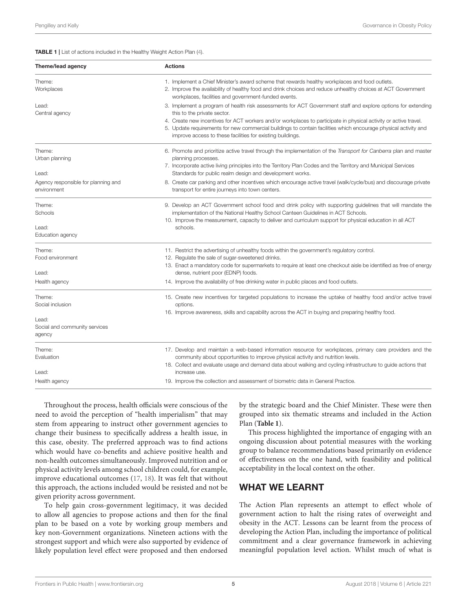<span id="page-4-0"></span>TABLE 1 | List of actions included in the Healthy Weight Action Plan [\(4\)](#page-5-3).

| Theme/lead agency                                  | <b>Actions</b>                                                                                                                                                                                                                                                                                                                                                                                                                                   |
|----------------------------------------------------|--------------------------------------------------------------------------------------------------------------------------------------------------------------------------------------------------------------------------------------------------------------------------------------------------------------------------------------------------------------------------------------------------------------------------------------------------|
| Theme:<br>Workplaces                               | 1. Implement a Chief Minister's award scheme that rewards healthy workplaces and food outlets.<br>2. Improve the availability of healthy food and drink choices and reduce unhealthy choices at ACT Government<br>workplaces, facilities and government-funded events.                                                                                                                                                                           |
| Lead:<br>Central agency                            | 3. Implement a program of health risk assessments for ACT Government staff and explore options for extending<br>this to the private sector.<br>4. Create new incentives for ACT workers and/or workplaces to participate in physical activity or active travel.<br>5. Update requirements for new commercial buildings to contain facilities which encourage physical activity and<br>improve access to these facilities for existing buildings. |
| Theme:<br>Urban planning<br>Lead:                  | 6. Promote and prioritize active travel through the implementation of the Transport for Canberra plan and master<br>planning processes.<br>7. Incorporate active living principles into the Territory Plan Codes and the Territory and Municipal Services<br>Standards for public realm design and development works.                                                                                                                            |
| Agency responsible for planning and<br>environment | 8. Create car parking and other incentives which encourage active travel (walk/cycle/bus) and discourage private<br>transport for entire journeys into town centers.                                                                                                                                                                                                                                                                             |
| Theme:<br>Schools                                  | 9. Develop an ACT Government school food and drink policy with supporting guidelines that will mandate the<br>implementation of the National Healthy School Canteen Guidelines in ACT Schools.<br>10. Improve the measurement, capacity to deliver and curriculum support for physical education in all ACT                                                                                                                                      |
| Lead:<br>Education agency                          | schools.                                                                                                                                                                                                                                                                                                                                                                                                                                         |
| Theme:<br>Food environment                         | 11. Restrict the advertising of unhealthy foods within the government's regulatory control.<br>12. Regulate the sale of sugar-sweetened drinks.<br>13. Enact a mandatory code for supermarkets to require at least one checkout aisle be identified as free of energy                                                                                                                                                                            |
| Lead:<br>Health agency                             | dense, nutrient poor (EDNP) foods.<br>14. Improve the availability of free drinking water in public places and food outlets.                                                                                                                                                                                                                                                                                                                     |
| Theme:<br>Social inclusion                         | 15. Create new incentives for targeted populations to increase the uptake of healthy food and/or active travel<br>options.<br>16. Improve awareness, skills and capability across the ACT in buying and preparing healthy food.                                                                                                                                                                                                                  |
| Lead:<br>Social and community services<br>agency   |                                                                                                                                                                                                                                                                                                                                                                                                                                                  |
| Theme:<br>Evaluation                               | 17. Develop and maintain a web-based information resource for workplaces, primary care providers and the<br>community about opportunities to improve physical activity and nutrition levels.<br>18. Collect and evaluate usage and demand data about walking and cycling infrastructure to guide actions that                                                                                                                                    |
| Lead:<br>Health agency                             | increase use.<br>19. Improve the collection and assessment of biometric data in General Practice.                                                                                                                                                                                                                                                                                                                                                |

Throughout the process, health officials were conscious of the need to avoid the perception of "health imperialism" that may stem from appearing to instruct other government agencies to change their business to specifically address a health issue, in this case, obesity. The preferred approach was to find actions which would have co-benefits and achieve positive health and non-health outcomes simultaneously. Improved nutrition and or physical activity levels among school children could, for example, improve educational outcomes [\(17,](#page-6-4) [18\)](#page-6-5). It was felt that without this approach, the actions included would be resisted and not be given priority across government.

To help gain cross-government legitimacy, it was decided to allow all agencies to propose actions and then for the final plan to be based on a vote by working group members and key non-Government organizations. Nineteen actions with the strongest support and which were also supported by evidence of likely population level effect were proposed and then endorsed by the strategic board and the Chief Minister. These were then grouped into six thematic streams and included in the Action Plan (**[Table 1](#page-4-0)**).

This process highlighted the importance of engaging with an ongoing discussion about potential measures with the working group to balance recommendations based primarily on evidence of effectiveness on the one hand, with feasibility and political acceptability in the local context on the other.

## WHAT WE LEARNT

The Action Plan represents an attempt to effect whole of government action to halt the rising rates of overweight and obesity in the ACT. Lessons can be learnt from the process of developing the Action Plan, including the importance of political commitment and a clear governance framework in achieving meaningful population level action. Whilst much of what is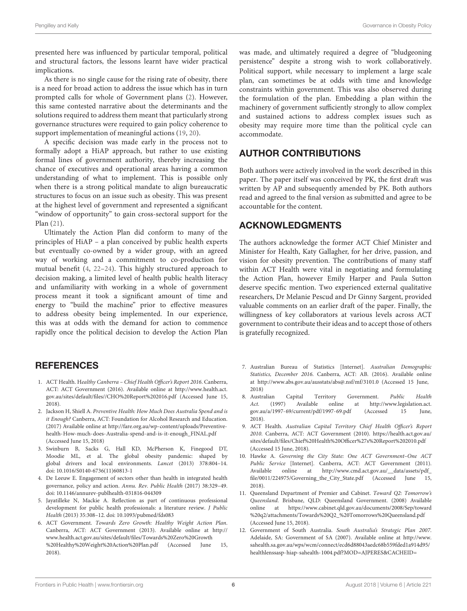presented here was influenced by particular temporal, political and structural factors, the lessons learnt have wider practical implications.

As there is no single cause for the rising rate of obesity, there is a need for broad action to address the issue which has in turn prompted calls for whole of Government plans [\(2\)](#page-5-1). However, this same contested narrative about the determinants and the solutions required to address them meant that particularly strong governance structures were required to gain policy coherence to support implementation of meaningful actions [\(19,](#page-6-6) [20\)](#page-6-7).

A specific decision was made early in the process not to formally adopt a HiAP approach, but rather to use existing formal lines of government authority, thereby increasing the chance of executives and operational areas having a common understanding of what to implement. This is possible only when there is a strong political mandate to align bureaucratic structures to focus on an issue such as obesity. This was present at the highest level of government and represented a significant "window of opportunity" to gain cross-sectoral support for the Plan [\(21\)](#page-6-8).

Ultimately the Action Plan did conform to many of the principles of HiAP – a plan conceived by public health experts but eventually co-owned by a wider group, with an agreed way of working and a commitment to co-production for mutual benefit [\(4,](#page-5-3) [22](#page-6-9)[–24\)](#page-6-10). This highly structured approach to decision making, a limited level of health public health literacy and unfamiliarity with working in a whole of government process meant it took a significant amount of time and energy to "build the machine" prior to effective measures to address obesity being implemented. In our experience, this was at odds with the demand for action to commence rapidly once the political decision to develop the Action Plan

# **REFERENCES**

- <span id="page-5-0"></span>1. ACT Health. Healthy Canberra – Chief Health Officer's Report 2016. Canberra, ACT: ACT Government (2016). Available online at [http://www.health.act.](http://www.health.act.gov.au/sites/default/files//CHO%20Report%202016.pdf) [gov.au/sites/default/files//CHO%20Report%202016.pdf](http://www.health.act.gov.au/sites/default/files//CHO%20Report%202016.pdf) (Accessed June 15, 2018).
- <span id="page-5-1"></span>2. Jackson H, Shiell A. Preventive Health: How Much Does Australia Spend and is it Enough? Canberra, ACT: Foundation for Alcohol Research and Education. (2017) Available online at [http://fare.org.au/wp-content/uploads/Preventive](http://fare.org.au/wp-content/uploads/Preventive-health-How-much-does-Australia-spend-and-is-it-enough_FINAL.pdf)[health-How-much-does-Australia-spend-and-is-it-enough\\_FINAL.pdf](http://fare.org.au/wp-content/uploads/Preventive-health-How-much-does-Australia-spend-and-is-it-enough_FINAL.pdf) (Accessed June 15, 2018)
- <span id="page-5-2"></span>3. Swinburn B, Sacks G, Hall KD, McPherson K, Finegood DT, Moodie ML, et al. The global obesity pandemic: shaped by global drivers and local environments. Lancet (2013) 378:804–14. doi: [10.1016/S0140-6736\(11\)60813-1](https://doi.org/10.1016/S0140-6736(11)60813-1)
- <span id="page-5-3"></span>4. De Leeuw E. Engagement of sectors other than health in integrated health governance, policy and action. Annu. Rev. Public Health (2017) 38:329–49. doi: [10.1146/annurev-publhealth-031816-044309](https://doi.org/10.1146/annurev-publhealth-031816-044309)
- <span id="page-5-4"></span>5. Jayatilleke N, Mackie A. Reflection as part of continuous professional development for public health professionals: a literature review. J Public Health (2013) 35:308–12. doi: [10.1093/pubmed/fds083](https://doi.org/10.1093/pubmed/fds083)
- <span id="page-5-5"></span>6. ACT Government. Towards Zero Growth: Healthy Weight Action Plan. Canberra, ACT: ACT Government (2013). Available online at [http://](http://www.health.act.gov.au/sites/default/files/Towards%20Zero%20Growth%20Healthy%20Weight%20Action%20Plan.pdf) [www.health.act.gov.au/sites/default/files/Towards%20Zero%20Growth](http://www.health.act.gov.au/sites/default/files/Towards%20Zero%20Growth%20Healthy%20Weight%20Action%20Plan.pdf) [%20Healthy%20Weight%20Action%20Plan.pdf](http://www.health.act.gov.au/sites/default/files/Towards%20Zero%20Growth%20Healthy%20Weight%20Action%20Plan.pdf) (Accessed June 15, 2018).

was made, and ultimately required a degree of "bludgeoning persistence" despite a strong wish to work collaboratively. Political support, while necessary to implement a large scale plan, can sometimes be at odds with time and knowledge constraints within government. This was also observed during the formulation of the plan. Embedding a plan within the machinery of government sufficiently strongly to allow complex and sustained actions to address complex issues such as obesity may require more time than the political cycle can accommodate.

# AUTHOR CONTRIBUTIONS

Both authors were actively involved in the work described in this paper. The paper itself was conceived by PK, the first draft was written by AP and subsequently amended by PK. Both authors read and agreed to the final version as submitted and agree to be accountable for the content.

### ACKNOWLEDGMENTS

The authors acknowledge the former ACT Chief Minister and Minister for Health, Katy Gallagher, for her drive, passion, and vision for obesity prevention. The contributions of many staff within ACT Health were vital in negotiating and formulating the Action Plan, however Emily Harper and Paula Sutton deserve specific mention. Two experienced external qualitative researchers, Dr Melanie Pescud and Dr Ginny Sargent, provided valuable comments on an earlier draft of the paper. Finally, the willingness of key collaborators at various levels across ACT government to contribute their ideas and to accept those of others is gratefully recognized.

- <span id="page-5-6"></span>7. Australian Bureau of Statistics [Internet]. Australian Demographic Statistics, December 2016. Canberra, ACT: AB. (2016). Available online at<http://www.abs.gov.au/ausstats/abs@.nsf/mf/3101.0> (Accessed 15 June, 2018)
- <span id="page-5-7"></span>8. Australian Capital Territory Government. Public Health Act. (1997) Available online at [http://www.legislation.act.](http://www.legislation.act.gov.au/a/1997-69/current/pdf/1997-69.pdf) [gov.au/a/1997-69/current/pdf/1997-69.pdf](http://www.legislation.act.gov.au/a/1997-69/current/pdf/1997-69.pdf) (Accessed 15 June, 2018).
- <span id="page-5-8"></span>9. ACT Health. Australian Capital Territory Chief Health Officer's Report 2010. Canberra, ACT: ACT Government (2010). [https://health.act.gov.au/](https://health.act.gov.au/sites/default/files/Chief%20Health%20Officer%27s%20Report%202010.pdf) [sites/default/files/Chief%20Health%20Officer%27s%20Report%202010.pdf](https://health.act.gov.au/sites/default/files/Chief%20Health%20Officer%27s%20Report%202010.pdf) (Accessed 15 June, 2018).
- <span id="page-5-9"></span>10. Hawke A. Governing the City State: One ACT Government–One ACT Public Service [Internet]. Canberra, ACT: ACT Government (2011). Available online at [http://www.cmd.act.gov.au/\\_\\_data/assets/pdf\\_](http://www.cmd.act.gov.au/__data/assets/pdf_file/0011/224975/Governing_the_City_State.pdf) [file/0011/224975/Governing\\_the\\_City\\_State.pdf](http://www.cmd.act.gov.au/__data/assets/pdf_file/0011/224975/Governing_the_City_State.pdf) (Accessed June 15, 2018).
- <span id="page-5-10"></span>11. Queensland Department of Premier and Cabinet. Toward Q2: Tomorrow's Queensland. Brisbane, QLD: Queensland Government. (2008) Available online at [https://www.cabinet.qld.gov.au/documents/2008/Sep/toward](https://www.cabinet.qld.gov.au/documents/2008/Sep/toward%20q2/attachments/Towards%20Q2_%20Tomorrows%20Queensland.pdf) [%20q2/attachments/Towards%20Q2\\_%20Tomorrows%20Queensland.pdf](https://www.cabinet.qld.gov.au/documents/2008/Sep/toward%20q2/attachments/Towards%20Q2_%20Tomorrows%20Queensland.pdf) (Accessed June 15, 2018).
- <span id="page-5-11"></span>12. Government of South Australia. South Australia's Strategic Plan 2007. Adelaide, SA: Government of SA (2007). Available online at [http://www.](http://www.sahealth.sa.gov.au/wps/wcm/connect/ecd6d88043aedc68b559fded1a914d95/healthlenssasp-hiap-sahealth-1004.pdf?MOD=AJPERES&CACHEID=ROOTWORKSPACE-ecd6d88043aedc68b559fded1a914d95-l-WK-ay) [sahealth.sa.gov.au/wps/wcm/connect/ecd6d88043aedc68b559fded1a914d95/](http://www.sahealth.sa.gov.au/wps/wcm/connect/ecd6d88043aedc68b559fded1a914d95/healthlenssasp-hiap-sahealth-1004.pdf?MOD=AJPERES&CACHEID=ROOTWORKSPACE-ecd6d88043aedc68b559fded1a914d95-l-WK-ay) [healthlenssasp-hiap-sahealth-1004.pdf?MOD=AJPERES&CACHEID=](http://www.sahealth.sa.gov.au/wps/wcm/connect/ecd6d88043aedc68b559fded1a914d95/healthlenssasp-hiap-sahealth-1004.pdf?MOD=AJPERES&CACHEID=ROOTWORKSPACE-ecd6d88043aedc68b559fded1a914d95-l-WK-ay)